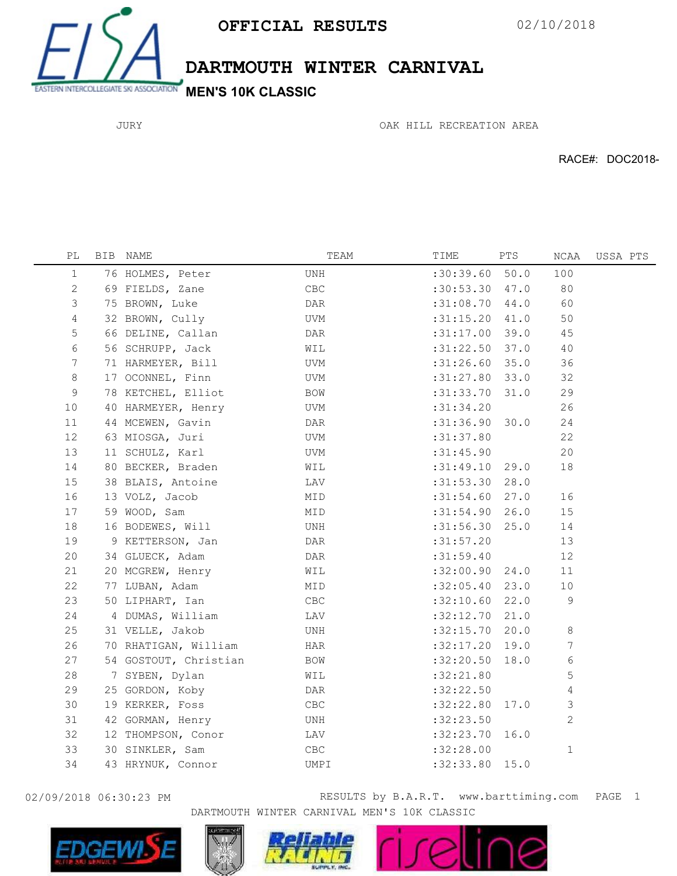

DARTMOUTH WINTER CARNIVAL

JURY

OAK HILL RECREATION AREA

RACE#: DOC2018-

| РL              | BIB NAME              | TEAM           | TIME             | PTS | NCAA           | USSA PTS |  |
|-----------------|-----------------------|----------------|------------------|-----|----------------|----------|--|
| $\mathbf 1$     | 76 HOLMES, Peter      | UNH            | :30:39.60 50.0   |     | 100            |          |  |
| 2               | 69 FIELDS, Zane       | $\mathsf{CBC}$ | $:30:53.30$ 47.0 |     | 80             |          |  |
| $\mathsf 3$     | 75 BROWN, Luke        | DAR            | $:31:08.70$ 44.0 |     | 60             |          |  |
| $\overline{4}$  | 32 BROWN, Cully       | UVM            | $:31:15.20$ 41.0 |     | 50             |          |  |
| 5               | 66 DELINE, Callan     | DAR            | $:31:17.00$ 39.0 |     | 45             |          |  |
| 6               | 56 SCHRUPP, Jack      | WIL            | $:31:22.50$ 37.0 |     | 40             |          |  |
| $7\phantom{.0}$ | 71 HARMEYER, Bill     | <b>UVM</b>     | $:31:26.60$ 35.0 |     | 36             |          |  |
| 8               | 17 OCONNEL, Finn      | UVM            | $:31:27.80$ 33.0 |     | 32             |          |  |
| 9               | 78 KETCHEL, Elliot    | BOW            | : 31: 33.70 31.0 |     | 29             |          |  |
| 10              | 40 HARMEYER, Henry    | UVM            | :31:34.20        |     | 26             |          |  |
| 11              | 44 MCEWEN, Gavin      | DAR            | :31:36.90 30.0   |     | 24             |          |  |
| 12              | 63 MIOSGA, Juri       | UVM            | : 31: 37.80      |     | 22             |          |  |
| 13              | 11 SCHULZ, Karl       | UVM            | : 31: 45.90      |     | 20             |          |  |
| 14              | 80 BECKER, Braden     | WIL            | $:31:49.10$ 29.0 |     | 18             |          |  |
| 15              | 38 BLAIS, Antoine     | LAV            | $:31:53.30$ 28.0 |     |                |          |  |
| 16              | 13 VOLZ, Jacob        | MID            | $:31:54.60$ 27.0 |     | 16             |          |  |
| 17              | 59 WOOD, Sam          | MID            | :31:54.90 26.0   |     | 15             |          |  |
| 18              | 16 BODEWES, Will      | UNH            | $:31:56.30$ 25.0 |     | 14             |          |  |
| 19              | 9 KETTERSON, Jan      | DAR            | :31:57.20        |     | 13             |          |  |
| 20              | 34 GLUECK, Adam       | DAR            | :31:59.40        |     | 12             |          |  |
| 21              | 20 MCGREW, Henry      | WIL            | :32:00.90 24.0   |     | $11$           |          |  |
| 22              | 77 LUBAN, Adam        | MID            | :32:05.40 23.0   |     | $10$           |          |  |
| 23              | 50 LIPHART, Ian       | CBC            | $:32:10.60$ 22.0 |     | 9              |          |  |
| 24              | 4 DUMAS, William      | LAV            | $:32:12.70$ 21.0 |     |                |          |  |
| 25              | 31 VELLE, Jakob       | UNH            | $:32:15.70$ 20.0 |     | 8              |          |  |
| 26              | 70 RHATIGAN, William  | HAR            | $:32:17.20$ 19.0 |     | 7              |          |  |
| 27              | 54 GOSTOUT, Christian | BOW            | :32:20.50 18.0   |     | 6              |          |  |
| 28              | 7 SYBEN, Dylan        | WIL            | : 32:21.80       |     | 5              |          |  |
| 29              | 25 GORDON, Koby       | DAR            | :32:22.50        |     | 4              |          |  |
| 30              | 19 KERKER, Foss       | ${\tt CBC}$    | :32:22.80 17.0   |     | 3              |          |  |
| 31              | 42 GORMAN, Henry      | UNH            | :32:23.50        |     | $\overline{2}$ |          |  |
| 32              | 12 THOMPSON, Conor    | LAV            | :32:23.70 16.0   |     |                |          |  |
| 33              | 30 SINKLER, Sam       | ${\sf CBC}$    | :32:28.00        |     | $\mathbf{1}$   |          |  |
| 34              | 43 HRYNUK, Connor     | UMPI           | :32:33.80 15.0   |     |                |          |  |
|                 |                       |                |                  |     |                |          |  |

02/09/2018 06:30:23 PM RESULTS by B.A.R.T. www.barttiming.com 1 PAGEDARTMOUTH WINTER CARNIVAL MEN'S 10K CLASSIC